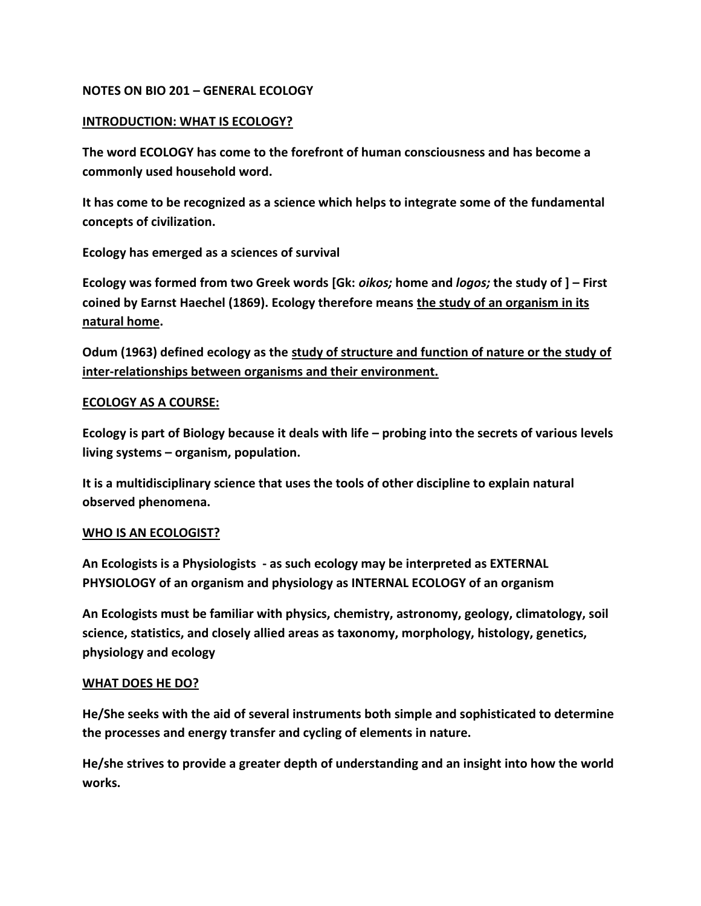### **NOTES ON BIO 201 – GENERAL ECOLOGY**

### **INTRODUCTION: WHAT IS ECOLOGY?**

**The word ECOLOGY has come to the forefront of human consciousness and has become a commonly used household word.** 

**It has come to be recognized as a science which helps to integrate some of the fundamental concepts of civilization.**

**Ecology has emerged as a sciences of survival**

**Ecology was formed from two Greek words [Gk:** *oikos;* **home and** *logos;* **the study of ] – First coined by Earnst Haechel (1869). Ecology therefore means the study of an organism in its natural home.** 

**Odum (1963) defined ecology as the study of structure and function of nature or the study of inter-relationships between organisms and their environment.**

#### **ECOLOGY AS A COURSE:**

**Ecology is part of Biology because it deals with life – probing into the secrets of various levels living systems – organism, population.** 

**It is a multidisciplinary science that uses the tools of other discipline to explain natural observed phenomena.**

#### **WHO IS AN ECOLOGIST?**

**An Ecologists is a Physiologists - as such ecology may be interpreted as EXTERNAL PHYSIOLOGY of an organism and physiology as INTERNAL ECOLOGY of an organism**

**An Ecologists must be familiar with physics, chemistry, astronomy, geology, climatology, soil science, statistics, and closely allied areas as taxonomy, morphology, histology, genetics, physiology and ecology**

#### **WHAT DOES HE DO?**

**He/She seeks with the aid of several instruments both simple and sophisticated to determine the processes and energy transfer and cycling of elements in nature.** 

**He/she strives to provide a greater depth of understanding and an insight into how the world works.**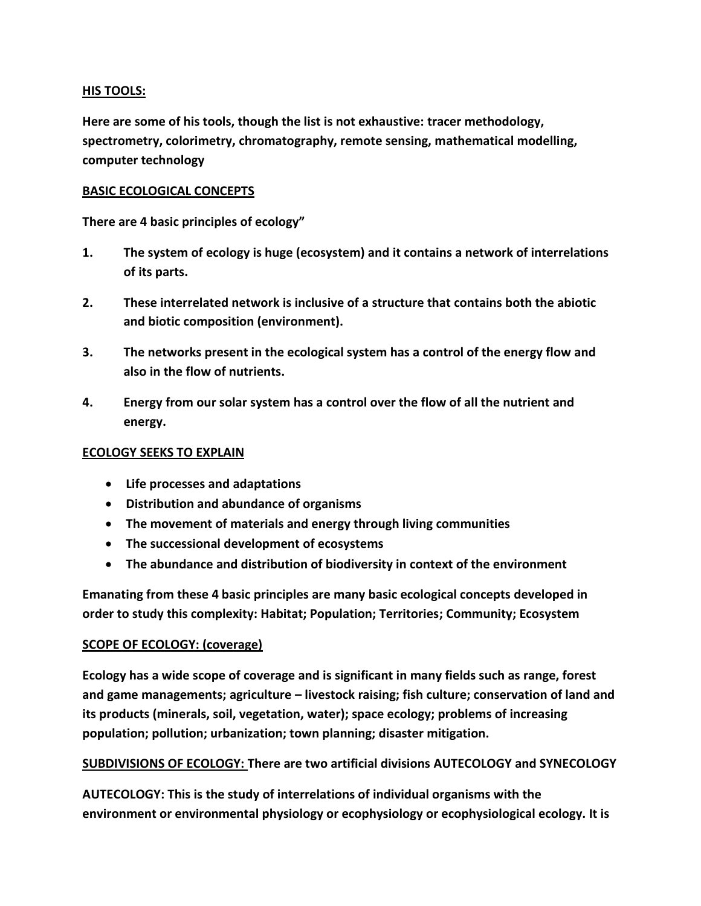### **HIS TOOLS:**

**Here are some of his tools, though the list is not exhaustive: tracer methodology, spectrometry, colorimetry, chromatography, remote sensing, mathematical modelling, computer technology**

### **BASIC ECOLOGICAL CONCEPTS**

**There are 4 basic principles of ecology"**

- **1. The system of ecology is huge (ecosystem) and it contains a network of interrelations of its parts.**
- **2. These interrelated network is inclusive of a structure that contains both the abiotic and biotic composition (environment).**
- **3. The networks present in the ecological system has a control of the energy flow and also in the flow of nutrients.**
- **4. Energy from our solar system has a control over the flow of all the nutrient and energy.**

### **ECOLOGY SEEKS TO EXPLAIN**

- **Life processes and adaptations**
- **Distribution and abundance of organisms**
- **The movement of materials and energy through living communities**
- **The successional development of ecosystems**
- **The abundance and distribution of biodiversity in context of the environment**

**Emanating from these 4 basic principles are many basic ecological concepts developed in order to study this complexity: Habitat; Population; Territories; Community; Ecosystem**

### **SCOPE OF ECOLOGY: (coverage)**

**Ecology has a wide scope of coverage and is significant in many fields such as range, forest and game managements; agriculture – livestock raising; fish culture; conservation of land and its products (minerals, soil, vegetation, water); space ecology; problems of increasing population; pollution; urbanization; town planning; disaster mitigation.**

**SUBDIVISIONS OF ECOLOGY: There are two artificial divisions AUTECOLOGY and SYNECOLOGY**

**AUTECOLOGY: This is the study of interrelations of individual organisms with the environment or environmental physiology or ecophysiology or ecophysiological ecology. It is**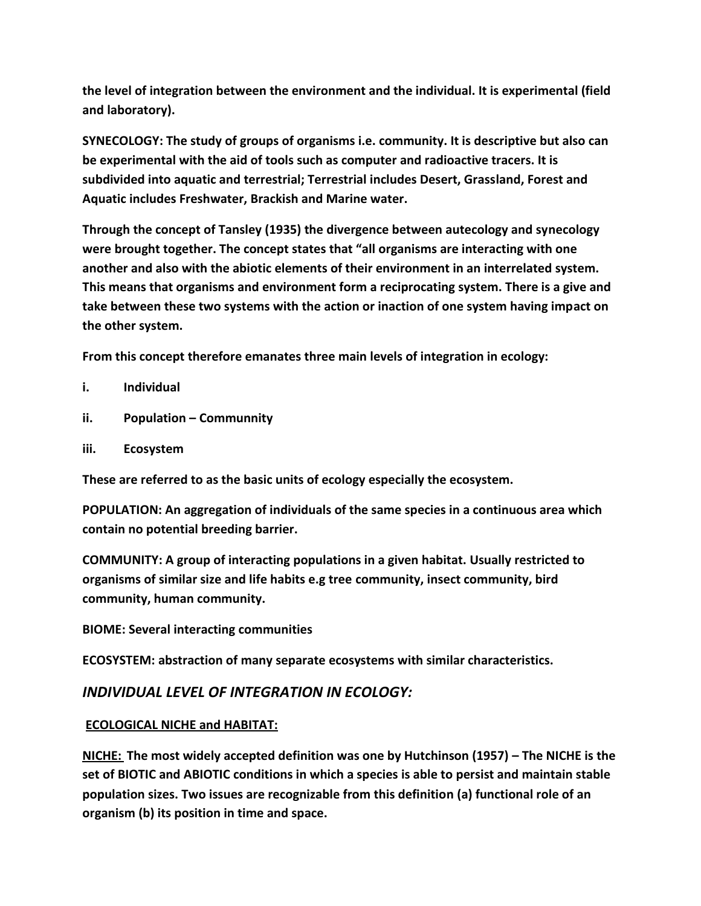**the level of integration between the environment and the individual. It is experimental (field and laboratory).**

**SYNECOLOGY: The study of groups of organisms i.e. community. It is descriptive but also can be experimental with the aid of tools such as computer and radioactive tracers. It is subdivided into aquatic and terrestrial; Terrestrial includes Desert, Grassland, Forest and Aquatic includes Freshwater, Brackish and Marine water.**

**Through the concept of Tansley (1935) the divergence between autecology and synecology were brought together. The concept states that "all organisms are interacting with one another and also with the abiotic elements of their environment in an interrelated system. This means that organisms and environment form a reciprocating system. There is a give and take between these two systems with the action or inaction of one system having impact on the other system.** 

**From this concept therefore emanates three main levels of integration in ecology:**

- **i. Individual**
- **ii. Population – Communnity**
- **iii. Ecosystem**

**These are referred to as the basic units of ecology especially the ecosystem.**

**POPULATION: An aggregation of individuals of the same species in a continuous area which contain no potential breeding barrier.**

**COMMUNITY: A group of interacting populations in a given habitat. Usually restricted to organisms of similar size and life habits e.g tree community, insect community, bird community, human community.**

**BIOME: Several interacting communities**

**ECOSYSTEM: abstraction of many separate ecosystems with similar characteristics.**

## *INDIVIDUAL LEVEL OF INTEGRATION IN ECOLOGY:*

### **ECOLOGICAL NICHE and HABITAT:**

**NICHE: The most widely accepted definition was one by Hutchinson (1957) – The NICHE is the set of BIOTIC and ABIOTIC conditions in which a species is able to persist and maintain stable population sizes. Two issues are recognizable from this definition (a) functional role of an organism (b) its position in time and space.**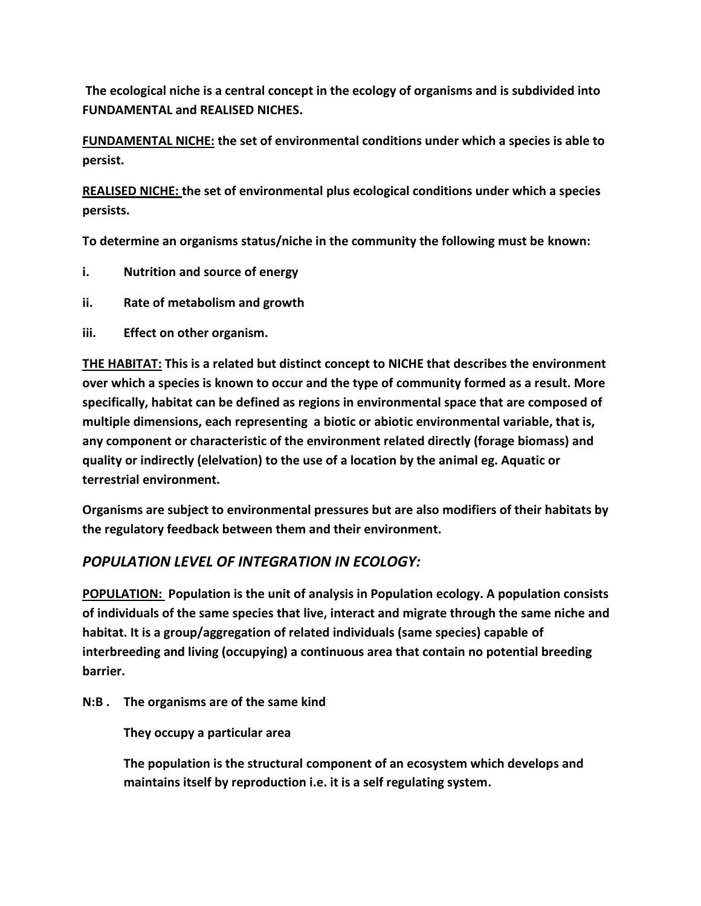**The ecological niche is a central concept in the ecology of organisms and is subdivided into FUNDAMENTAL and REALISED NICHES.**

**FUNDAMENTAL NICHE: the set of environmental conditions under which a species is able to persist.**

**REALISED NICHE: the set of environmental plus ecological conditions under which a species persists.**

**To determine an organisms status/niche in the community the following must be known:**

- **i. Nutrition and source of energy**
- **ii. Rate of metabolism and growth**
- **iii. Effect on other organism.**

**THE HABITAT: This is a related but distinct concept to NICHE that describes the environment over which a species is known to occur and the type of community formed as a result. More specifically, habitat can be defined as regions in environmental space that are composed of multiple dimensions, each representing a biotic or abiotic environmental variable, that is, any component or characteristic of the environment related directly (forage biomass) and quality or indirectly (elelvation) to the use of a location by the animal eg. Aquatic or terrestrial environment.**

**Organisms are subject to environmental pressures but are also modifiers of their habitats by the regulatory feedback between them and their environment.**

# *POPULATION LEVEL OF INTEGRATION IN ECOLOGY:*

**POPULATION: Population is the unit of analysis in Population ecology. A population consists of individuals of the same species that live, interact and migrate through the same niche and habitat. It is a group/aggregation of related individuals (same species) capable of interbreeding and living (occupying) a continuous area that contain no potential breeding barrier.**

**N:B . The organisms are of the same kind**

**They occupy a particular area**

**The population is the structural component of an ecosystem which develops and maintains itself by reproduction i.e. it is a self regulating system.**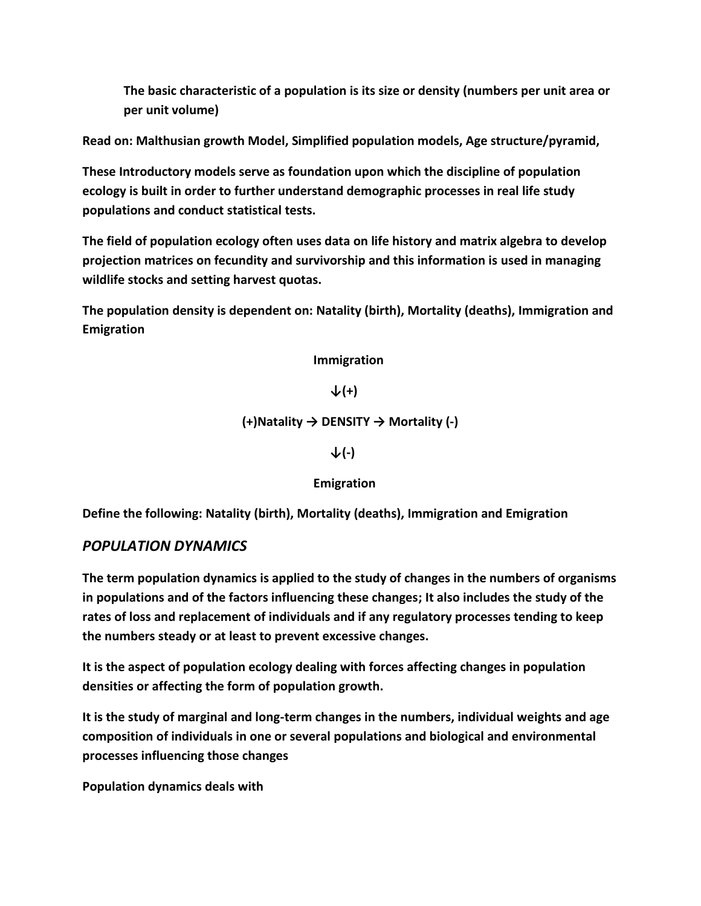**The basic characteristic of a population is its size or density (numbers per unit area or per unit volume)**

**Read on: Malthusian growth Model, Simplified population models, Age structure/pyramid,**

**These Introductory models serve as foundation upon which the discipline of population ecology is built in order to further understand demographic processes in real life study populations and conduct statistical tests.**

**The field of population ecology often uses data on life history and matrix algebra to develop projection matrices on fecundity and survivorship and this information is used in managing wildlife stocks and setting harvest quotas.**

**The population density is dependent on: Natality (birth), Mortality (deaths), Immigration and Emigration**

 **Immigration**

**↓(+)**

**(+)Natality → DENSITY → Mortality (-)**

**↓(-)**

 **Emigration**

**Define the following: Natality (birth), Mortality (deaths), Immigration and Emigration**

### *POPULATION DYNAMICS*

**The term population dynamics is applied to the study of changes in the numbers of organisms in populations and of the factors influencing these changes; It also includes the study of the rates of loss and replacement of individuals and if any regulatory processes tending to keep the numbers steady or at least to prevent excessive changes.**

**It is the aspect of population ecology dealing with forces affecting changes in population densities or affecting the form of population growth.** 

**It is the study of marginal and long-term changes in the numbers, individual weights and age composition of individuals in one or several populations and biological and environmental processes influencing those changes**

**Population dynamics deals with**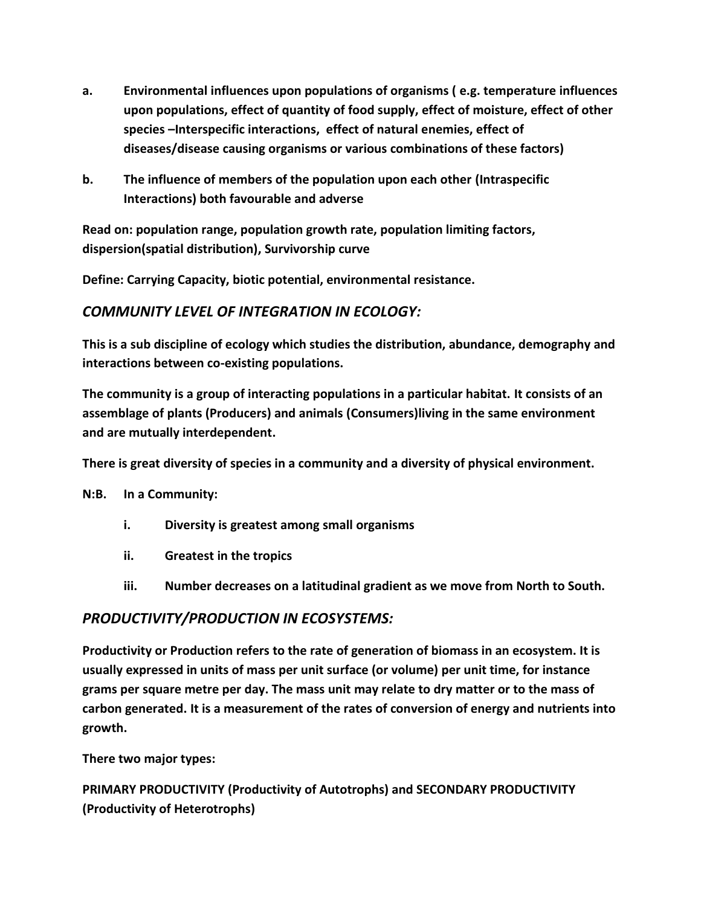- **a. Environmental influences upon populations of organisms ( e.g. temperature influences upon populations, effect of quantity of food supply, effect of moisture, effect of other species –Interspecific interactions, effect of natural enemies, effect of diseases/disease causing organisms or various combinations of these factors)**
- **b. The influence of members of the population upon each other (Intraspecific Interactions) both favourable and adverse**

**Read on: population range, population growth rate, population limiting factors, dispersion(spatial distribution), Survivorship curve**

**Define: Carrying Capacity, biotic potential, environmental resistance.**

# *COMMUNITY LEVEL OF INTEGRATION IN ECOLOGY:*

**This is a sub discipline of ecology which studies the distribution, abundance, demography and interactions between co-existing populations.** 

**The community is a group of interacting populations in a particular habitat. It consists of an assemblage of plants (Producers) and animals (Consumers)living in the same environment and are mutually interdependent.**

**There is great diversity of species in a community and a diversity of physical environment.**

**N:B. In a Community:**

- **i. Diversity is greatest among small organisms**
- **ii. Greatest in the tropics**
- **iii. Number decreases on a latitudinal gradient as we move from North to South.**

# *PRODUCTIVITY/PRODUCTION IN ECOSYSTEMS:*

**Productivity or Production refers to the rate of generation of biomass in an ecosystem. It is usually expressed in units of mass per unit surface (or volume) per unit time, for instance grams per square metre per day. The mass unit may relate to dry matter or to the mass of carbon generated. It is a measurement of the rates of conversion of energy and nutrients into growth.**

**There two major types:**

**PRIMARY PRODUCTIVITY (Productivity of Autotrophs) and SECONDARY PRODUCTIVITY (Productivity of Heterotrophs)**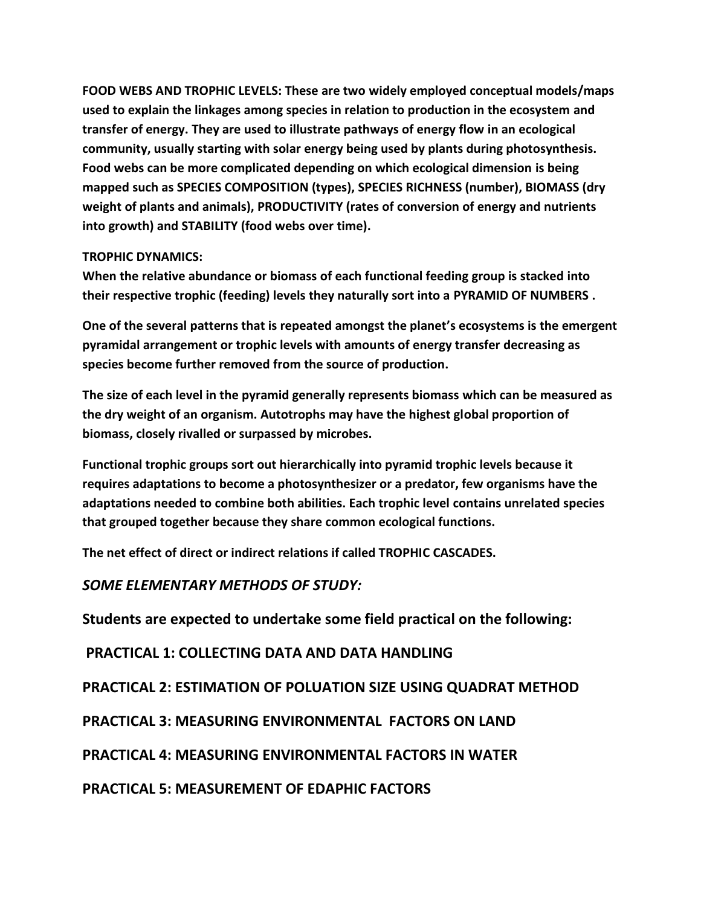**FOOD WEBS AND TROPHIC LEVELS: These are two widely employed conceptual models/maps used to explain the linkages among species in relation to production in the ecosystem and transfer of energy. They are used to illustrate pathways of energy flow in an ecological community, usually starting with solar energy being used by plants during photosynthesis. Food webs can be more complicated depending on which ecological dimension is being mapped such as SPECIES COMPOSITION (types), SPECIES RICHNESS (number), BIOMASS (dry weight of plants and animals), PRODUCTIVITY (rates of conversion of energy and nutrients into growth) and STABILITY (food webs over time).**

### **TROPHIC DYNAMICS:**

**When the relative abundance or biomass of each functional feeding group is stacked into their respective trophic (feeding) levels they naturally sort into a PYRAMID OF NUMBERS .**

**One of the several patterns that is repeated amongst the planet's ecosystems is the emergent pyramidal arrangement or trophic levels with amounts of energy transfer decreasing as species become further removed from the source of production.**

**The size of each level in the pyramid generally represents biomass which can be measured as the dry weight of an organism. Autotrophs may have the highest global proportion of biomass, closely rivalled or surpassed by microbes.**

**Functional trophic groups sort out hierarchically into pyramid trophic levels because it requires adaptations to become a photosynthesizer or a predator, few organisms have the adaptations needed to combine both abilities. Each trophic level contains unrelated species that grouped together because they share common ecological functions.**

**The net effect of direct or indirect relations if called TROPHIC CASCADES.**

## *SOME ELEMENTARY METHODS OF STUDY:*

**Students are expected to undertake some field practical on the following:**

**PRACTICAL 1: COLLECTING DATA AND DATA HANDLING** 

**PRACTICAL 2: ESTIMATION OF POLUATION SIZE USING QUADRAT METHOD**

**PRACTICAL 3: MEASURING ENVIRONMENTAL FACTORS ON LAND**

**PRACTICAL 4: MEASURING ENVIRONMENTAL FACTORS IN WATER**

**PRACTICAL 5: MEASUREMENT OF EDAPHIC FACTORS**